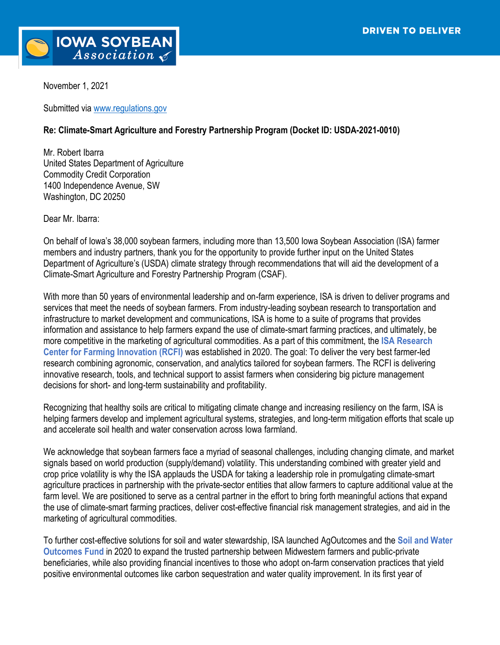

November 1, 2021

Submitted via [www.regulations.gov](http://www.regulations.gov/)

## **Re: Climate-Smart Agriculture and Forestry Partnership Program (Docket ID: USDA-2021-0010)**

Mr. Robert Ibarra United States Department of Agriculture Commodity Credit Corporation 1400 Independence Avenue, SW Washington, DC 20250

Dear Mr. Ibarra:

On behalf of Iowa's 38,000 soybean farmers, including more than 13,500 Iowa Soybean Association (ISA) farmer members and industry partners, thank you for the opportunity to provide further input on the United States Department of Agriculture's (USDA) climate strategy through recommendations that will aid the development of a Climate-Smart Agriculture and Forestry Partnership Program (CSAF).

With more than 50 years of environmental leadership and on-farm experience, ISA is driven to deliver programs and services that meet the needs of soybean farmers. From industry-leading soybean research to transportation and infrastructure to market development and communications, ISA is home to a suite of programs that provides information and assistance to help farmers expand the use of climate-smart farming practices, and ultimately, be more competitive in the marketing of agricultural commodities. As a part of this commitment, the **ISA Research Center for Farming Innovation (RCFI)** was established in 2020. The goal: To deliver the very best farmer-led research combining agronomic, conservation, and analytics tailored for soybean farmers. The RCFI is delivering innovative research, tools, and technical support to assist farmers when considering big picture management decisions for short- and long-term sustainability and profitability.

Recognizing that healthy soils are critical to mitigating climate change and increasing resiliency on the farm, ISA is helping farmers develop and implement agricultural systems, strategies, and long-term mitigation efforts that scale up and accelerate soil health and water conservation across Iowa farmland.

We acknowledge that soybean farmers face a myriad of seasonal challenges, including changing climate, and market signals based on world production (supply/demand) volatility. This understanding combined with greater yield and crop price volatility is why the ISA applauds the USDA for taking a leadership role in promulgating climate-smart agriculture practices in partnership with the private-sector entities that allow farmers to capture additional value at the farm level. We are positioned to serve as a central partner in the effort to bring forth meaningful actions that expand the use of climate-smart farming practices, deliver cost-effective financial risk management strategies, and aid in the marketing of agricultural commodities.

To further cost-effective solutions for soil and water stewardship, ISA launched AgOutcomes and the **Soil and Water Outcomes Fund** in 2020 to expand the trusted partnership between Midwestern farmers and public-private beneficiaries, while also providing financial incentives to those who adopt on-farm conservation practices that yield positive environmental outcomes like carbon sequestration and water quality improvement. In its first year of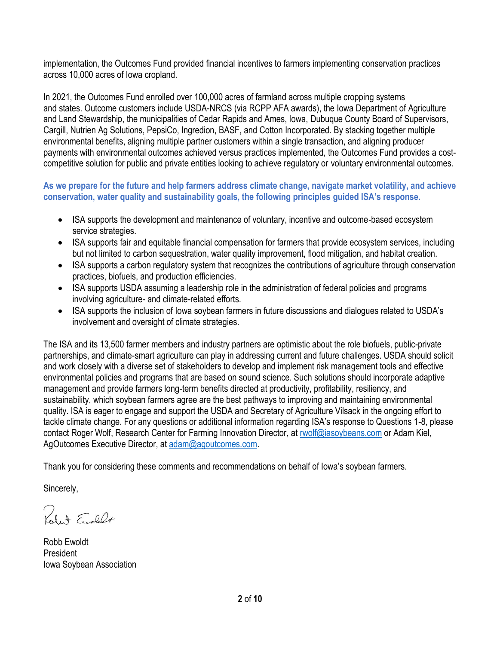implementation, the Outcomes Fund provided financial incentives to farmers implementing conservation practices across 10,000 acres of Iowa cropland.

In 2021, the Outcomes Fund enrolled over 100,000 acres of farmland across multiple cropping systems and states. Outcome customers include USDA-NRCS (via RCPP AFA awards), the Iowa Department of Agriculture and Land Stewardship, the municipalities of Cedar Rapids and Ames, Iowa, Dubuque County Board of Supervisors, Cargill, Nutrien Ag Solutions, PepsiCo, Ingredion, BASF, and Cotton Incorporated. By stacking together multiple environmental benefits, aligning multiple partner customers within a single transaction, and aligning producer payments with environmental outcomes achieved versus practices implemented, the Outcomes Fund provides a costcompetitive solution for public and private entities looking to achieve regulatory or voluntary environmental outcomes.

## **As we prepare for the future and help farmers address climate change, navigate market volatility, and achieve conservation, water quality and sustainability goals, the following principles guided ISA's response.**

- ISA supports the development and maintenance of voluntary, incentive and outcome-based ecosystem service strategies.
- ISA supports fair and equitable financial compensation for farmers that provide ecosystem services, including but not limited to carbon sequestration, water quality improvement, flood mitigation, and habitat creation.
- ISA supports a carbon regulatory system that recognizes the contributions of agriculture through conservation practices, biofuels, and production efficiencies.
- ISA supports USDA assuming a leadership role in the administration of federal policies and programs involving agriculture- and climate-related efforts.
- ISA supports the inclusion of Iowa soybean farmers in future discussions and dialogues related to USDA's involvement and oversight of climate strategies.

The ISA and its 13,500 farmer members and industry partners are optimistic about the role biofuels, public-private partnerships, and climate-smart agriculture can play in addressing current and future challenges. USDA should solicit and work closely with a diverse set of stakeholders to develop and implement risk management tools and effective environmental policies and programs that are based on sound science. Such solutions should incorporate adaptive management and provide farmers long-term benefits directed at productivity, profitability, resiliency, and sustainability, which soybean farmers agree are the best pathways to improving and maintaining environmental quality. ISA is eager to engage and support the USDA and Secretary of Agriculture Vilsack in the ongoing effort to tackle climate change. For any questions or additional information regarding ISA's response to Questions 1-8, please contact Roger Wolf, Research Center for Farming Innovation Director, at [rwolf@iasoybeans.com](mailto:rwolf@iasoybeans.com) or Adam Kiel, AgOutcomes Executive Director, at [adam@agoutcomes.com.](mailto:adam@agoutcomes.com)

Thank you for considering these comments and recommendations on behalf of Iowa's soybean farmers.

Sincerely,

Robert Eughlet

Robb Ewoldt President Iowa Soybean Association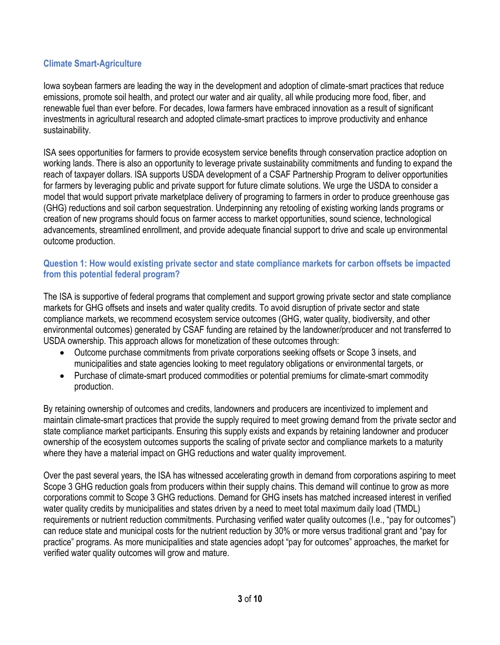# **Climate Smart-Agriculture**

Iowa soybean farmers are leading the way in the development and adoption of climate-smart practices that reduce emissions, promote soil health, and protect our water and air quality, all while producing more food, fiber, and renewable fuel than ever before. For decades, Iowa farmers have embraced innovation as a result of significant investments in agricultural research and adopted climate-smart practices to improve productivity and enhance sustainability.

ISA sees opportunities for farmers to provide ecosystem service benefits through conservation practice adoption on working lands. There is also an opportunity to leverage private sustainability commitments and funding to expand the reach of taxpayer dollars. ISA supports USDA development of a CSAF Partnership Program to deliver opportunities for farmers by leveraging public and private support for future climate solutions. We urge the USDA to consider a model that would support private marketplace delivery of programing to farmers in order to produce greenhouse gas (GHG) reductions and soil carbon sequestration. Underpinning any retooling of existing working lands programs or creation of new programs should focus on farmer access to market opportunities, sound science, technological advancements, streamlined enrollment, and provide adequate financial support to drive and scale up environmental outcome production.

#### **Question 1: How would existing private sector and state compliance markets for carbon offsets be impacted from this potential federal program?**

The ISA is supportive of federal programs that complement and support growing private sector and state compliance markets for GHG offsets and insets and water quality credits. To avoid disruption of private sector and state compliance markets, we recommend ecosystem service outcomes (GHG, water quality, biodiversity, and other environmental outcomes) generated by CSAF funding are retained by the landowner/producer and not transferred to USDA ownership. This approach allows for monetization of these outcomes through:

- Outcome purchase commitments from private corporations seeking offsets or Scope 3 insets, and municipalities and state agencies looking to meet regulatory obligations or environmental targets, or
- Purchase of climate-smart produced commodities or potential premiums for climate-smart commodity production.

By retaining ownership of outcomes and credits, landowners and producers are incentivized to implement and maintain climate-smart practices that provide the supply required to meet growing demand from the private sector and state compliance market participants. Ensuring this supply exists and expands by retaining landowner and producer ownership of the ecosystem outcomes supports the scaling of private sector and compliance markets to a maturity where they have a material impact on GHG reductions and water quality improvement.

Over the past several years, the ISA has witnessed accelerating growth in demand from corporations aspiring to meet Scope 3 GHG reduction goals from producers within their supply chains. This demand will continue to grow as more corporations commit to Scope 3 GHG reductions. Demand for GHG insets has matched increased interest in verified water quality credits by municipalities and states driven by a need to meet total maximum daily load (TMDL) requirements or nutrient reduction commitments. Purchasing verified water quality outcomes (I.e., "pay for outcomes") can reduce state and municipal costs for the nutrient reduction by 30% or more versus traditional grant and "pay for practice" programs. As more municipalities and state agencies adopt "pay for outcomes" approaches, the market for verified water quality outcomes will grow and mature.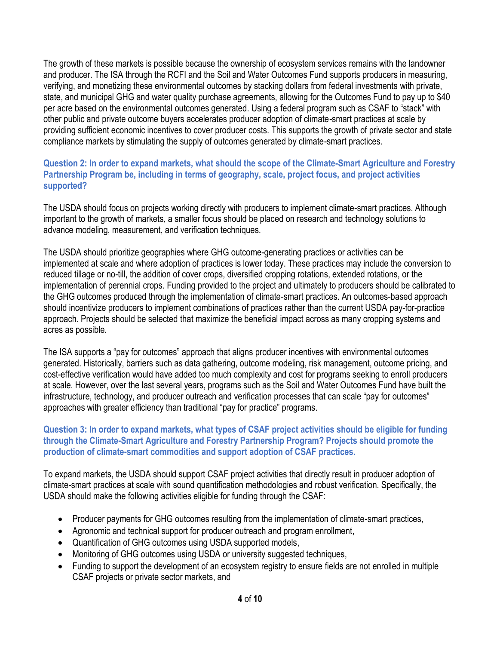The growth of these markets is possible because the ownership of ecosystem services remains with the landowner and producer. The ISA through the RCFI and the Soil and Water Outcomes Fund supports producers in measuring, verifying, and monetizing these environmental outcomes by stacking dollars from federal investments with private, state, and municipal GHG and water quality purchase agreements, allowing for the Outcomes Fund to pay up to \$40 per acre based on the environmental outcomes generated. Using a federal program such as CSAF to "stack" with other public and private outcome buyers accelerates producer adoption of climate-smart practices at scale by providing sufficient economic incentives to cover producer costs. This supports the growth of private sector and state compliance markets by stimulating the supply of outcomes generated by climate-smart practices.

## **Question 2: In order to expand markets, what should the scope of the Climate-Smart Agriculture and Forestry Partnership Program be, including in terms of geography, scale, project focus, and project activities supported?**

The USDA should focus on projects working directly with producers to implement climate-smart practices. Although important to the growth of markets, a smaller focus should be placed on research and technology solutions to advance modeling, measurement, and verification techniques.

The USDA should prioritize geographies where GHG outcome-generating practices or activities can be implemented at scale and where adoption of practices is lower today. These practices may include the conversion to reduced tillage or no-till, the addition of cover crops, diversified cropping rotations, extended rotations, or the implementation of perennial crops. Funding provided to the project and ultimately to producers should be calibrated to the GHG outcomes produced through the implementation of climate-smart practices. An outcomes-based approach should incentivize producers to implement combinations of practices rather than the current USDA pay-for-practice approach. Projects should be selected that maximize the beneficial impact across as many cropping systems and acres as possible.

The ISA supports a "pay for outcomes" approach that aligns producer incentives with environmental outcomes generated. Historically, barriers such as data gathering, outcome modeling, risk management, outcome pricing, and cost-effective verification would have added too much complexity and cost for programs seeking to enroll producers at scale. However, over the last several years, programs such as the Soil and Water Outcomes Fund have built the infrastructure, technology, and producer outreach and verification processes that can scale "pay for outcomes" approaches with greater efficiency than traditional "pay for practice" programs.

## **Question 3: In order to expand markets, what types of CSAF project activities should be eligible for funding through the Climate-Smart Agriculture and Forestry Partnership Program? Projects should promote the production of climate-smart commodities and support adoption of CSAF practices.**

To expand markets, the USDA should support CSAF project activities that directly result in producer adoption of climate-smart practices at scale with sound quantification methodologies and robust verification. Specifically, the USDA should make the following activities eligible for funding through the CSAF:

- Producer payments for GHG outcomes resulting from the implementation of climate-smart practices,
- Agronomic and technical support for producer outreach and program enrollment,
- Quantification of GHG outcomes using USDA supported models,
- Monitoring of GHG outcomes using USDA or university suggested techniques,
- Funding to support the development of an ecosystem registry to ensure fields are not enrolled in multiple CSAF projects or private sector markets, and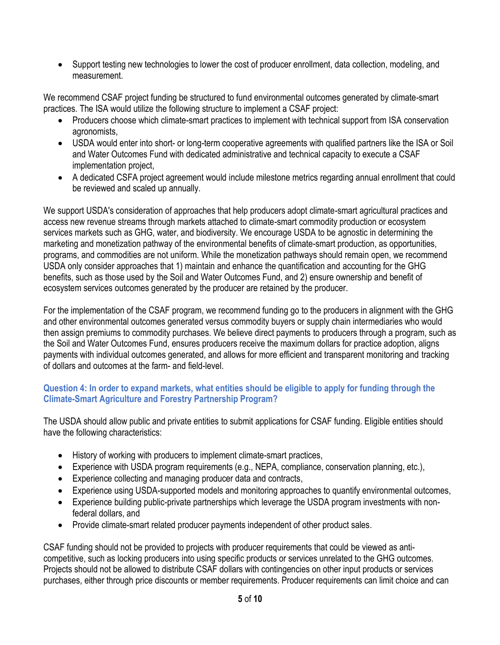• Support testing new technologies to lower the cost of producer enrollment, data collection, modeling, and measurement.

We recommend CSAF project funding be structured to fund environmental outcomes generated by climate-smart practices. The ISA would utilize the following structure to implement a CSAF project:

- Producers choose which climate-smart practices to implement with technical support from ISA conservation agronomists,
- USDA would enter into short- or long-term cooperative agreements with qualified partners like the ISA or Soil and Water Outcomes Fund with dedicated administrative and technical capacity to execute a CSAF implementation project,
- A dedicated CSFA project agreement would include milestone metrics regarding annual enrollment that could be reviewed and scaled up annually.

We support USDA's consideration of approaches that help producers adopt climate-smart agricultural practices and access new revenue streams through markets attached to climate-smart commodity production or ecosystem services markets such as GHG, water, and biodiversity. We encourage USDA to be agnostic in determining the marketing and monetization pathway of the environmental benefits of climate-smart production, as opportunities, programs, and commodities are not uniform. While the monetization pathways should remain open, we recommend USDA only consider approaches that 1) maintain and enhance the quantification and accounting for the GHG benefits, such as those used by the Soil and Water Outcomes Fund, and 2) ensure ownership and benefit of ecosystem services outcomes generated by the producer are retained by the producer.

For the implementation of the CSAF program, we recommend funding go to the producers in alignment with the GHG and other environmental outcomes generated versus commodity buyers or supply chain intermediaries who would then assign premiums to commodity purchases. We believe direct payments to producers through a program, such as the Soil and Water Outcomes Fund, ensures producers receive the maximum dollars for practice adoption, aligns payments with individual outcomes generated, and allows for more efficient and transparent monitoring and tracking of dollars and outcomes at the farm- and field-level.

## **Question 4: In order to expand markets, what entities should be eligible to apply for funding through the Climate-Smart Agriculture and Forestry Partnership Program?**

The USDA should allow public and private entities to submit applications for CSAF funding. Eligible entities should have the following characteristics:

- History of working with producers to implement climate-smart practices,
- Experience with USDA program requirements (e.g., NEPA, compliance, conservation planning, etc.),
- Experience collecting and managing producer data and contracts,
- Experience using USDA-supported models and monitoring approaches to quantify environmental outcomes,
- Experience building public-private partnerships which leverage the USDA program investments with nonfederal dollars, and
- Provide climate-smart related producer payments independent of other product sales.

CSAF funding should not be provided to projects with producer requirements that could be viewed as anticompetitive, such as locking producers into using specific products or services unrelated to the GHG outcomes. Projects should not be allowed to distribute CSAF dollars with contingencies on other input products or services purchases, either through price discounts or member requirements. Producer requirements can limit choice and can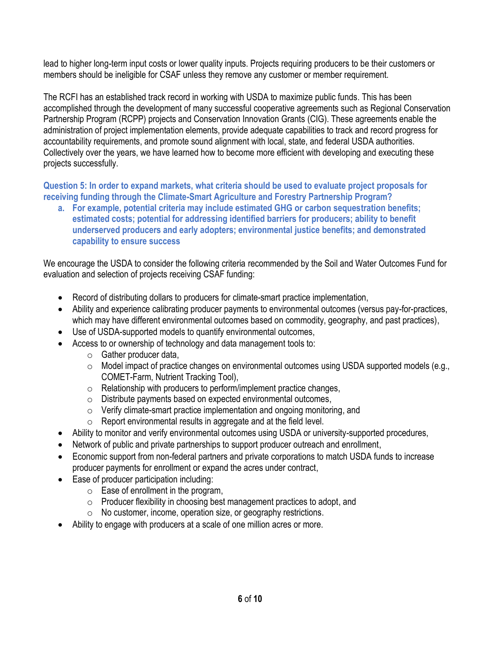lead to higher long-term input costs or lower quality inputs. Projects requiring producers to be their customers or members should be ineligible for CSAF unless they remove any customer or member requirement.

The RCFI has an established track record in working with USDA to maximize public funds. This has been accomplished through the development of many successful cooperative agreements such as Regional Conservation Partnership Program (RCPP) projects and Conservation Innovation Grants (CIG). These agreements enable the administration of project implementation elements, provide adequate capabilities to track and record progress for accountability requirements, and promote sound alignment with local, state, and federal USDA authorities. Collectively over the years, we have learned how to become more efficient with developing and executing these projects successfully.

**Question 5: In order to expand markets, what criteria should be used to evaluate project proposals for receiving funding through the Climate-Smart Agriculture and Forestry Partnership Program?** 

**a. For example, potential criteria may include estimated GHG or carbon sequestration benefits; estimated costs; potential for addressing identified barriers for producers; ability to benefit underserved producers and early adopters; environmental justice benefits; and demonstrated capability to ensure success**

We encourage the USDA to consider the following criteria recommended by the Soil and Water Outcomes Fund for evaluation and selection of projects receiving CSAF funding:

- Record of distributing dollars to producers for climate-smart practice implementation,
- Ability and experience calibrating producer payments to environmental outcomes (versus pay-for-practices, which may have different environmental outcomes based on commodity, geography, and past practices),
- Use of USDA-supported models to quantify environmental outcomes,
- Access to or ownership of technology and data management tools to:
	- $\circ$  Gather producer data,
	- o Model impact of practice changes on environmental outcomes using USDA supported models (e.g., COMET-Farm, Nutrient Tracking Tool),
	- $\circ$  Relationship with producers to perform/implement practice changes,
	- o Distribute payments based on expected environmental outcomes,
	- o Verify climate-smart practice implementation and ongoing monitoring, and
	- $\circ$  Report environmental results in aggregate and at the field level.
- Ability to monitor and verify environmental outcomes using USDA or university-supported procedures,
- Network of public and private partnerships to support producer outreach and enrollment,
- Economic support from non-federal partners and private corporations to match USDA funds to increase producer payments for enrollment or expand the acres under contract,
- Ease of producer participation including:
	- $\circ$  Ease of enrollment in the program,
	- o Producer flexibility in choosing best management practices to adopt, and
	- o No customer, income, operation size, or geography restrictions.
- Ability to engage with producers at a scale of one million acres or more.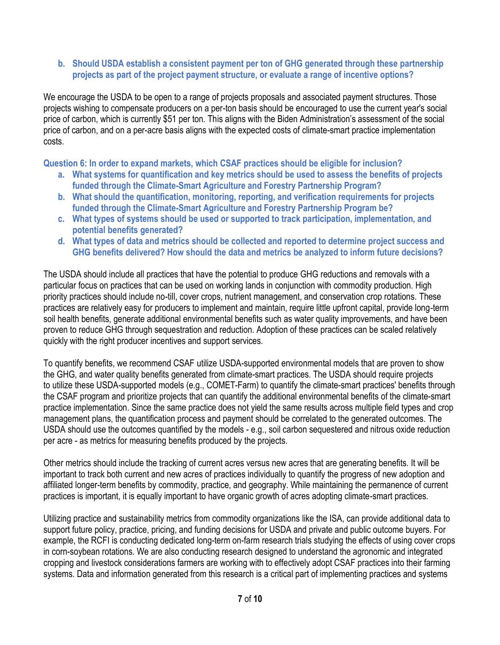#### **b. Should USDA establish a consistent payment per ton of GHG generated through these partnership projects as part of the project payment structure, or evaluate a range of incentive options?**

We encourage the USDA to be open to a range of projects proposals and associated payment structures. Those projects wishing to compensate producers on a per-ton basis should be encouraged to use the current year's social price of carbon, which is currently \$51 per ton. This aligns with the Biden Administration's assessment of the social price of carbon, and on a per-acre basis aligns with the expected costs of climate-smart practice implementation costs.

**Question 6: In order to expand markets, which CSAF practices should be eligible for inclusion?**

- **a. What systems for quantification and key metrics should be used to assess the benefits of projects funded through the Climate-Smart Agriculture and Forestry Partnership Program?**
- **b. What should the quantification, monitoring, reporting, and verification requirements for projects funded through the Climate-Smart Agriculture and Forestry Partnership Program be?**
- **c. What types of systems should be used or supported to track participation, implementation, and potential benefits generated?**
- **d. What types of data and metrics should be collected and reported to determine project success and GHG benefits delivered? How should the data and metrics be analyzed to inform future decisions?**

The USDA should include all practices that have the potential to produce GHG reductions and removals with a particular focus on practices that can be used on working lands in conjunction with commodity production. High priority practices should include no-till, cover crops, nutrient management, and conservation crop rotations. These practices are relatively easy for producers to implement and maintain, require little upfront capital, provide long-term soil health benefits, generate additional environmental benefits such as water quality improvements, and have been proven to reduce GHG through sequestration and reduction. Adoption of these practices can be scaled relatively quickly with the right producer incentives and support services.

To quantify benefits, we recommend CSAF utilize USDA-supported environmental models that are proven to show the GHG, and water quality benefits generated from climate-smart practices. The USDA should require projects to utilize these USDA-supported models (e.g., COMET-Farm) to quantify the climate-smart practices' benefits through the CSAF program and prioritize projects that can quantify the additional environmental benefits of the climate-smart practice implementation. Since the same practice does not yield the same results across multiple field types and crop management plans, the quantification process and payment should be correlated to the generated outcomes. The USDA should use the outcomes quantified by the models - e.g., soil carbon sequestered and nitrous oxide reduction per acre - as metrics for measuring benefits produced by the projects.

Other metrics should include the tracking of current acres versus new acres that are generating benefits. It will be important to track both current and new acres of practices individually to quantify the progress of new adoption and affiliated longer-term benefits by commodity, practice, and geography. While maintaining the permanence of current practices is important, it is equally important to have organic growth of acres adopting climate-smart practices*.*

Utilizing practice and sustainability metrics from commodity organizations like the ISA, can provide additional data to support future policy, practice, pricing, and funding decisions for USDA and private and public outcome buyers. For example, the RCFI is conducting dedicated long-term on-farm research trials studying the effects of using cover crops in corn-soybean rotations. We are also conducting research designed to understand the agronomic and integrated cropping and livestock considerations farmers are working with to effectively adopt CSAF practices into their farming systems. Data and information generated from this research is a critical part of implementing practices and systems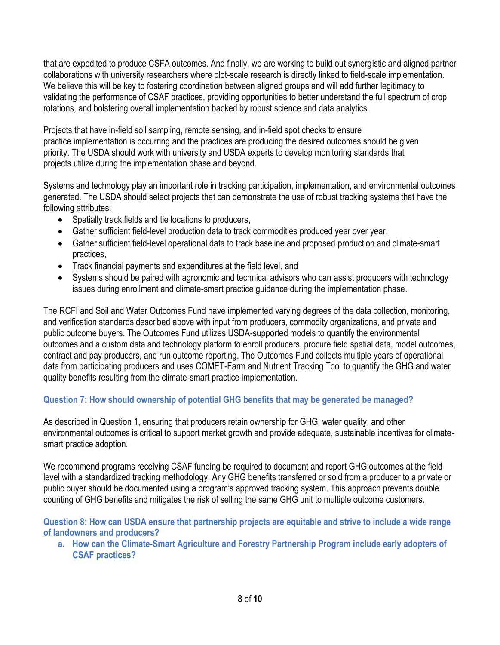that are expedited to produce CSFA outcomes. And finally, we are working to build out synergistic and aligned partner collaborations with university researchers where plot-scale research is directly linked to field-scale implementation. We believe this will be key to fostering coordination between aligned groups and will add further legitimacy to validating the performance of CSAF practices, providing opportunities to better understand the full spectrum of crop rotations, and bolstering overall implementation backed by robust science and data analytics.

Projects that have in-field soil sampling, remote sensing, and in-field spot checks to ensure practice implementation is occurring and the practices are producing the desired outcomes should be given priority. The USDA should work with university and USDA experts to develop monitoring standards that projects utilize during the implementation phase and beyond.

Systems and technology play an important role in tracking participation, implementation, and environmental outcomes generated. The USDA should select projects that can demonstrate the use of robust tracking systems that have the following attributes:

- Spatially track fields and tie locations to producers,
- Gather sufficient field-level production data to track commodities produced year over year,
- Gather sufficient field-level operational data to track baseline and proposed production and climate-smart practices,
- Track financial payments and expenditures at the field level, and
- Systems should be paired with agronomic and technical advisors who can assist producers with technology issues during enrollment and climate-smart practice guidance during the implementation phase.

The RCFI and Soil and Water Outcomes Fund have implemented varying degrees of the data collection, monitoring, and verification standards described above with input from producers, commodity organizations, and private and public outcome buyers. The Outcomes Fund utilizes USDA-supported models to quantify the environmental outcomes and a custom data and technology platform to enroll producers, procure field spatial data, model outcomes, contract and pay producers, and run outcome reporting. The Outcomes Fund collects multiple years of operational data from participating producers and uses COMET-Farm and Nutrient Tracking Tool to quantify the GHG and water quality benefits resulting from the climate-smart practice implementation.

# **Question 7: How should ownership of potential GHG benefits that may be generated be managed?**

As described in Question 1, ensuring that producers retain ownership for GHG, water quality, and other environmental outcomes is critical to support market growth and provide adequate, sustainable incentives for climatesmart practice adoption.

We recommend programs receiving CSAF funding be required to document and report GHG outcomes at the field level with a standardized tracking methodology. Any GHG benefits transferred or sold from a producer to a private or public buyer should be documented using a program's approved tracking system. This approach prevents double counting of GHG benefits and mitigates the risk of selling the same GHG unit to multiple outcome customers.

**Question 8: How can USDA ensure that partnership projects are equitable and strive to include a wide range of landowners and producers?**

**a. How can the Climate-Smart Agriculture and Forestry Partnership Program include early adopters of CSAF practices?**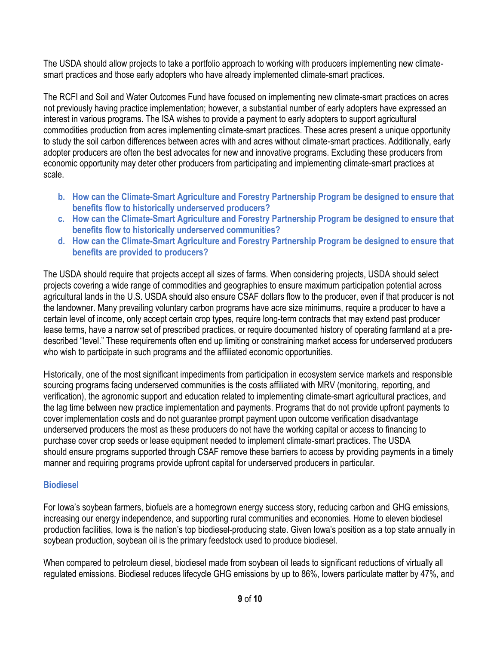The USDA should allow projects to take a portfolio approach to working with producers implementing new climatesmart practices and those early adopters who have already implemented climate-smart practices.

The RCFI and Soil and Water Outcomes Fund have focused on implementing new climate-smart practices on acres not previously having practice implementation; however, a substantial number of early adopters have expressed an interest in various programs. The ISA wishes to provide a payment to early adopters to support agricultural commodities production from acres implementing climate-smart practices. These acres present a unique opportunity to study the soil carbon differences between acres with and acres without climate-smart practices. Additionally, early adopter producers are often the best advocates for new and innovative programs. Excluding these producers from economic opportunity may deter other producers from participating and implementing climate-smart practices at scale.

- **b. How can the Climate-Smart Agriculture and Forestry Partnership Program be designed to ensure that benefits flow to historically underserved producers?**
- **c. How can the Climate-Smart Agriculture and Forestry Partnership Program be designed to ensure that benefits flow to historically underserved communities?**
- **d. How can the Climate-Smart Agriculture and Forestry Partnership Program be designed to ensure that benefits are provided to producers?**

The USDA should require that projects accept all sizes of farms. When considering projects, USDA should select projects covering a wide range of commodities and geographies to ensure maximum participation potential across agricultural lands in the U.S. USDA should also ensure CSAF dollars flow to the producer, even if that producer is not the landowner. Many prevailing voluntary carbon programs have acre size minimums, require a producer to have a certain level of income, only accept certain crop types, require long-term contracts that may extend past producer lease terms, have a narrow set of prescribed practices, or require documented history of operating farmland at a predescribed "level." These requirements often end up limiting or constraining market access for underserved producers who wish to participate in such programs and the affiliated economic opportunities.

Historically, one of the most significant impediments from participation in ecosystem service markets and responsible sourcing programs facing underserved communities is the costs affiliated with MRV (monitoring, reporting, and verification), the agronomic support and education related to implementing climate-smart agricultural practices, and the lag time between new practice implementation and payments. Programs that do not provide upfront payments to cover implementation costs and do not guarantee prompt payment upon outcome verification disadvantage underserved producers the most as these producers do not have the working capital or access to financing to purchase cover crop seeds or lease equipment needed to implement climate-smart practices. The USDA should ensure programs supported through CSAF remove these barriers to access by providing payments in a timely manner and requiring programs provide upfront capital for underserved producers in particular.

## **Biodiesel**

For Iowa's soybean farmers, biofuels are a homegrown energy success story, reducing carbon and GHG emissions, increasing our energy independence, and supporting rural communities and economies. Home to eleven biodiesel production facilities, Iowa is the nation's top biodiesel-producing state. Given Iowa's position as a top state annually in soybean production, soybean oil is the primary feedstock used to produce biodiesel.

When compared to petroleum diesel, biodiesel made from soybean oil leads to significant reductions of virtually all regulated emissions. Biodiesel reduces lifecycle GHG emissions by up to 86%, lowers particulate matter by 47%, and